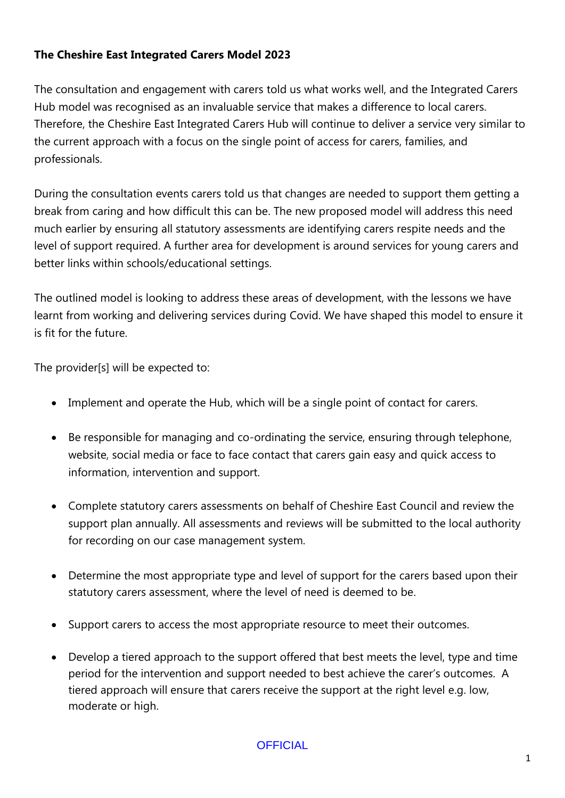## **The Cheshire East Integrated Carers Model 2023**

The consultation and engagement with carers told us what works well, and the Integrated Carers Hub model was recognised as an invaluable service that makes a difference to local carers. Therefore, the Cheshire East Integrated Carers Hub will continue to deliver a service very similar to the current approach with a focus on the single point of access for carers, families, and professionals.

During the consultation events carers told us that changes are needed to support them getting a break from caring and how difficult this can be. The new proposed model will address this need much earlier by ensuring all statutory assessments are identifying carers respite needs and the level of support required. A further area for development is around services for young carers and better links within schools/educational settings.

The outlined model is looking to address these areas of development, with the lessons we have learnt from working and delivering services during Covid. We have shaped this model to ensure it is fit for the future.

The provider[s] will be expected to:

- Implement and operate the Hub, which will be a single point of contact for carers.
- Be responsible for managing and co-ordinating the service, ensuring through telephone, website, social media or face to face contact that carers gain easy and quick access to information, intervention and support.
- Complete statutory carers assessments on behalf of Cheshire East Council and review the support plan annually. All assessments and reviews will be submitted to the local authority for recording on our case management system.
- Determine the most appropriate type and level of support for the carers based upon their statutory carers assessment, where the level of need is deemed to be.
- Support carers to access the most appropriate resource to meet their outcomes.
- Develop a tiered approach to the support offered that best meets the level, type and time period for the intervention and support needed to best achieve the carer's outcomes. A tiered approach will ensure that carers receive the support at the right level e.g. low, moderate or high.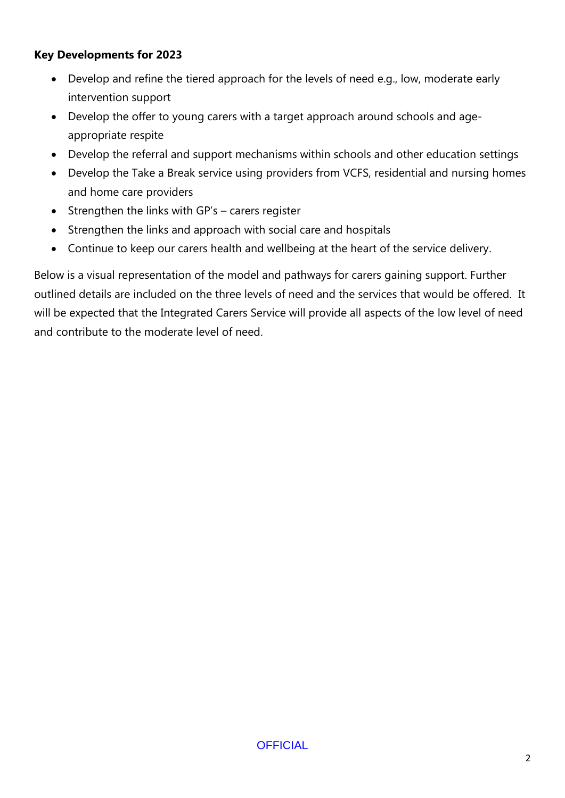### **Key Developments for 2023**

- Develop and refine the tiered approach for the levels of need e.g., low, moderate early intervention support
- Develop the offer to young carers with a target approach around schools and ageappropriate respite
- Develop the referral and support mechanisms within schools and other education settings
- Develop the Take a Break service using providers from VCFS, residential and nursing homes and home care providers
- Strengthen the links with GP's carers register
- Strengthen the links and approach with social care and hospitals
- Continue to keep our carers health and wellbeing at the heart of the service delivery.

Below is a visual representation of the model and pathways for carers gaining support. Further outlined details are included on the three levels of need and the services that would be offered. It will be expected that the Integrated Carers Service will provide all aspects of the low level of need and contribute to the moderate level of need.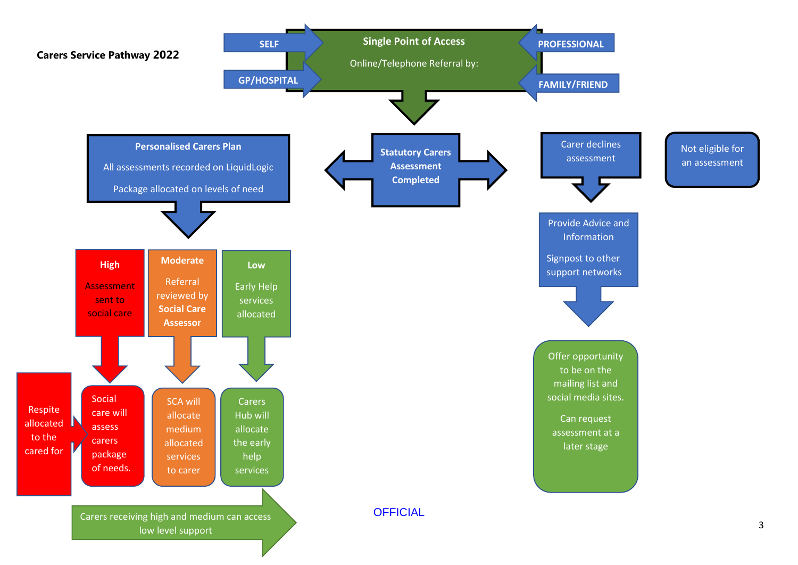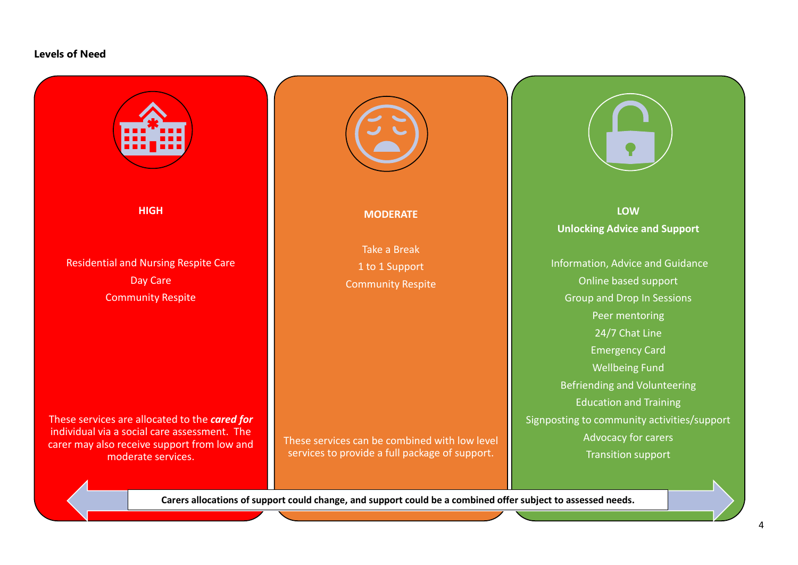#### **Levels of Need**



<u>of</u>ficial control of the second control of the second control of the second control of the second control of the s **Carers allocations of support could change, and support could be a combined offer subject to assessed needs.**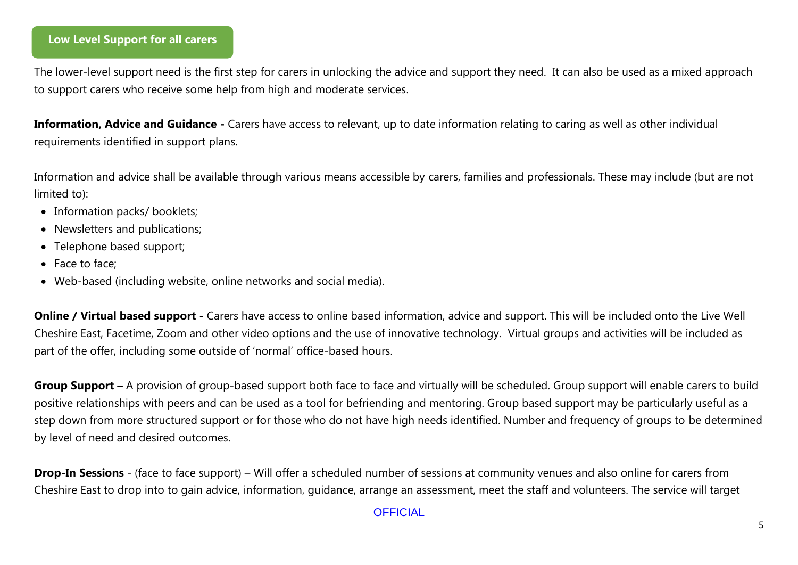### **Low Level Support for all carers**

The lower-level support need is the first step for carers in unlocking the advice and support they need. It can also be used as a mixed approach to support carers who receive some help from high and moderate services.

**Information, Advice and Guidance -** Carers have access to relevant, up to date information relating to caring as well as other individual requirements identified in support plans.

Information and advice shall be available through various means accessible by carers, families and professionals. These may include (but are not limited to):

- Information packs/ booklets;
- Newsletters and publications;
- Telephone based support;
- Face to face;
- Web-based (including website, online networks and social media).

**Online / Virtual based support -** Carers have access to online based information, advice and support. This will be included onto the Live Well Cheshire East, Facetime, Zoom and other video options and the use of innovative technology. Virtual groups and activities will be included as part of the offer, including some outside of 'normal' office-based hours.

**Group Support –** A provision of group-based support both face to face and virtually will be scheduled. Group support will enable carers to build positive relationships with peers and can be used as a tool for befriending and mentoring. Group based support may be particularly useful as a step down from more structured support or for those who do not have high needs identified. Number and frequency of groups to be determined by level of need and desired outcomes.

**Drop-In Sessions** - (face to face support) – Will offer a scheduled number of sessions at community venues and also online for carers from Cheshire East to drop into to gain advice, information, guidance, arrange an assessment, meet the staff and volunteers. The service will target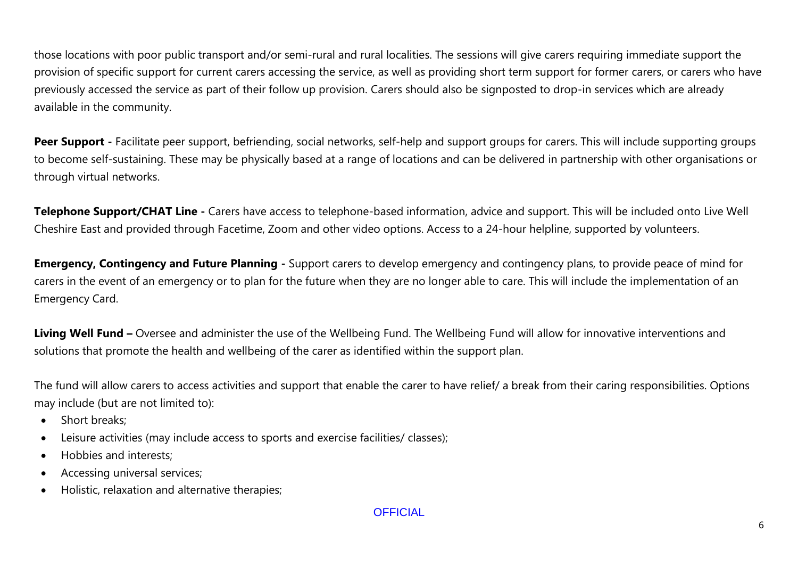those locations with poor public transport and/or semi-rural and rural localities. The sessions will give carers requiring immediate support the provision of specific support for current carers accessing the service, as well as providing short term support for former carers, or carers who have previously accessed the service as part of their follow up provision. Carers should also be signposted to drop-in services which are already available in the community.

Peer Support - Facilitate peer support, befriending, social networks, self-help and support groups for carers. This will include supporting groups to become self-sustaining. These may be physically based at a range of locations and can be delivered in partnership with other organisations or through virtual networks.

**Telephone Support/CHAT Line -** Carers have access to telephone-based information, advice and support. This will be included onto Live Well Cheshire East and provided through Facetime, Zoom and other video options. Access to a 24-hour helpline, supported by volunteers.

**Emergency, Contingency and Future Planning -** Support carers to develop emergency and contingency plans, to provide peace of mind for carers in the event of an emergency or to plan for the future when they are no longer able to care. This will include the implementation of an Emergency Card.

**Living Well Fund –** Oversee and administer the use of the Wellbeing Fund. The Wellbeing Fund will allow for innovative interventions and solutions that promote the health and wellbeing of the carer as identified within the support plan.

The fund will allow carers to access activities and support that enable the carer to have relief/ a break from their caring responsibilities. Options may include (but are not limited to):

- Short breaks;
- Leisure activities (may include access to sports and exercise facilities/ classes);
- Hobbies and interests;
- Accessing universal services;
- Holistic, relaxation and alternative therapies;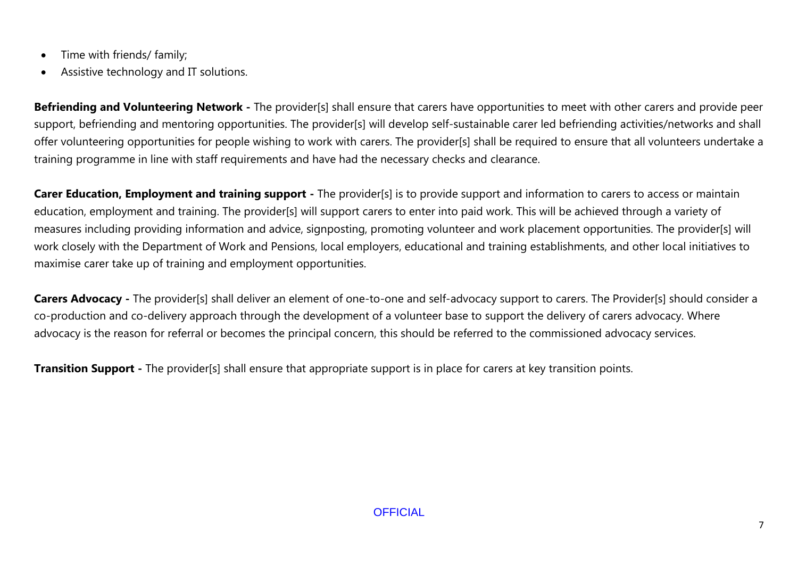- Time with friends/ family;
- Assistive technology and IT solutions.

**Befriending and Volunteering Network -** The provider[s] shall ensure that carers have opportunities to meet with other carers and provide peer support, befriending and mentoring opportunities. The provider[s] will develop self-sustainable carer led befriending activities/networks and shall offer volunteering opportunities for people wishing to work with carers. The provider[s] shall be required to ensure that all volunteers undertake a training programme in line with staff requirements and have had the necessary checks and clearance.

**Carer Education, Employment and training support** - The provider[s] is to provide support and information to carers to access or maintain education, employment and training. The provider[s] will support carers to enter into paid work. This will be achieved through a variety of measures including providing information and advice, signposting, promoting volunteer and work placement opportunities. The provider[s] will work closely with the Department of Work and Pensions, local employers, educational and training establishments, and other local initiatives to maximise carer take up of training and employment opportunities.

**Carers Advocacy** - The provider[s] shall deliver an element of one-to-one and self-advocacy support to carers. The Provider[s] should consider a co-production and co-delivery approach through the development of a volunteer base to support the delivery of carers advocacy. Where advocacy is the reason for referral or becomes the principal concern, this should be referred to the commissioned advocacy services.

**Transition Support -** The provider[s] shall ensure that appropriate support is in place for carers at key transition points.